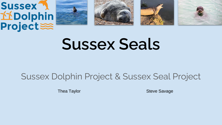









# **Sussex Seals**

# Sussex Dolphin Project & Sussex Seal Project

Thea Taylor Steve Savage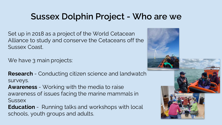# **Sussex Dolphin Project - Who are we**

Set up in 2018 as a project of the World Cetacean Alliance to study and conserve the Cetaceans off the Sussex Coast.

We have 3 main projects:

**Research** - Conducting citizen science and landwatch surveys.

**Awareness** - Working with the media to raise awareness of issues facing the marine mammals in **Sussex** 

**Education** - Running talks and workshops with local schools, youth groups and adults.

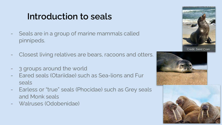# **Introduction to seals**

- Seals are in a group of marine mammals called pinnipeds.
- Closest living relatives are bears, racoons and otters.
- 3 groups around the world
- Eared seals (Otariidae) such as Sea-lions and Fur seals
- Earless or "true" seals (Phocidae) such as Grey seals and Monk seals
- Walruses (Odobenidae)





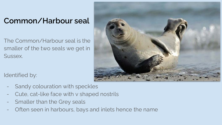### **Common/Harbour seal**

The Common/Harbour seal is the smaller of the two seals we get in Sussex.



Identified by:

- Sandy colouration with speckles
- Cute, cat-like face with v shaped nostrils
- Smaller than the Grey seals
- Often seen in harbours, bays and inlets hence the name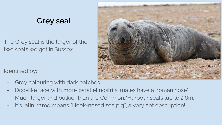### **Grey seal**

The Grey seal is the larger of the two seals we get in Sussex.



Identified by:

- Grey colouring with dark patches
- Dog-like face with more parallel nostrils, males have a 'roman nose'
- Much larger and bulkier than the Common/Harbour seals (up to 2.6m)
- It's latin name means "Hook-nosed sea pig", a very apt description!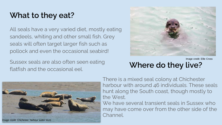### **What to they eat?**

All seals have a very varied diet, mostly eating sandeels, whiting and other small fish. Grey seals will often target larger fish such as pollock and even the occasional seabird!

Sussex seals are also often seen eating flatfish and the occasional eel. **Where do they live?** 



Image credit: Ellie Cross



There is a mixed seal colony at Chichester harbour with around 46 individuals. These seals hunt along the South coast, though mostly to the West.

We have several transient seals in Sussex who may have come over from the other side of the Channel.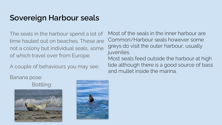### **Sovereign Harbour seals**

The seals in the harbour spend a lot of time hauled out on beaches. These are not a colony but individual seals, some of which travel over from Europe.

A couple of behaviours you may see:

Most of the seals in the inner harbour are Common/Harbour seals however some greys do visit the outer harbour, usually juveniles.

Most seals feed outside the harbour at high tide although there is a good source of bass and mullet inside the marina.

Banana pose:

Bottling:



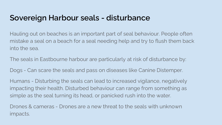### **Sovereign Harbour seals - disturbance**

Hauling out on beaches is an important part of seal behaviour. People often mistake a seal on a beach for a seal needing help and try to flush them back into the sea.

The seals in Eastbourne harbour are particularly at risk of disturbance by:

Dogs - Can scare the seals and pass on diseases like Canine Distemper.

Humans - Disturbing the seals can lead to increased vigilance, negatively impacting their health. Disturbed behaviour can range from something as simple as the seal turning its head, or panicked rush into the water.

Drones & cameras - Drones are a new threat to the seals with unknown impacts.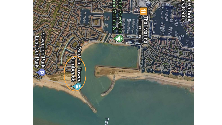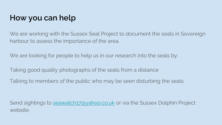### **How you can help**

We are working with the Sussex Seal Project to document the seals in Sovereign harbour to assess the importance of the area.

We are looking for people to help us in our research into the seals by:

Taking good quality photographs of the seals from a distance

Talking to members of the public who may be seen disturbing the seals.

Send sightings to [seawatch17@yahoo.co.uk](mailto:seawatch17@yahoo.co.uk) or via the Sussex Dolphin Project website.